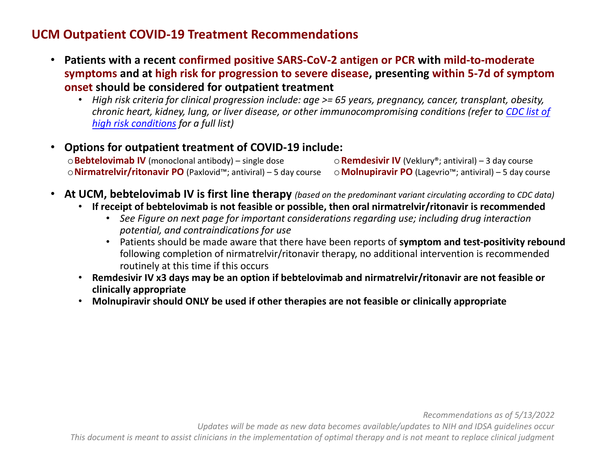## **UCM Outpatient COVID-19 Treatment Recommendations**

- **Patients with a recent confirmed positive SARS-CoV-2 antigen or PCR with mild-to-moderate symptoms and at high risk for progression to severe disease, presenting within 5-7d of symptom onset should be considered for outpatient treatment**
	- *High risk criteria for clinical progression include: age >= 65 years, pregnancy, cancer, transplant, obesity, chronic heart, kidney, lung, or liver disease, or other immunocompromising conditions (refer to [CDC list of](https://www.cdc.gov/coronavirus/2019-ncov/need-extra-precautions/people-with-medical-conditions.html)  [high risk conditions](https://www.cdc.gov/coronavirus/2019-ncov/need-extra-precautions/people-with-medical-conditions.html) for a full list)*
- **Options for outpatient treatment of COVID-19 include:** o**Bebtelovimab IV** (monoclonal antibody) – single dose o**Nirmatrelvir/ritonavir PO** (Paxlovid™; antiviral) – 5 day course o**Remdesivir IV** (Veklury®; antiviral) – 3 day course o**Molnupiravir PO** (Lagevrio™; antiviral) – 5 day course
- **At UCM, bebtelovimab IV is first line therapy** *(based on the predominant variant circulating according to CDC data)*
	- **If receipt of bebtelovimab is not feasible or possible, then oral nirmatrelvir/ritonavir is recommended**
		- *See Figure on next page for important considerations regarding use; including drug interaction potential, and contraindications for use*
		- Patients should be made aware that there have been reports of **symptom and test-positivity rebound**  following completion of nirmatrelvir/ritonavir therapy, no additional intervention is recommended routinely at this time if this occurs
	- **Remdesivir IV x3 days may be an option if bebtelovimab and nirmatrelvir/ritonavir are not feasible or clinically appropriate**
	- **Molnupiravir should ONLY be used if other therapies are not feasible or clinically appropriate**

*Updates will be made as new data becomes available/updates to NIH and IDSA guidelines occur*

*This document is meant to assist clinicians in the implementation of optimal therapy and is not meant to replace clinical judgment*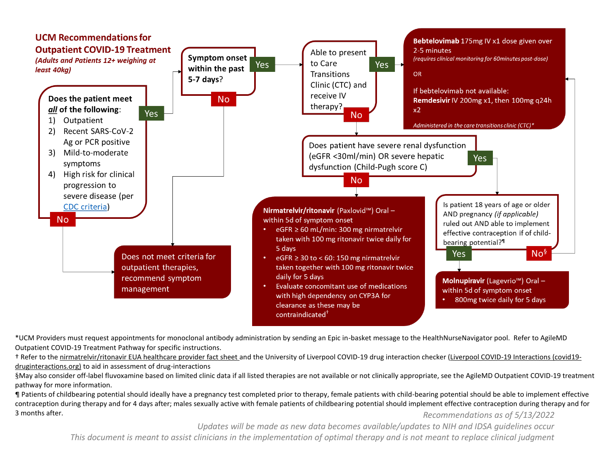

\*UCM Providers must request appointments for monoclonal antibody administration by sending an Epic in-basket message to the HealthNurseNavigator pool. Refer to AgileMD Outpatient COVID-19 Treatment Pathway for specific instructions.

† Refer to th[e nirmatrelvir/ritonavir EUA healthcare provider fact sheet a](https://www.fda.gov/media/155050/download)nd the University of Liverpool COVID-19 drug interaction checker [\(Liverpool COVID-19 Interactions \(covid19](https://www.covid19-druginteractions.org/?msclkid=00713ecdd15211ecb99cbc7a6d6c7d52) [druginteractions.org\)](https://www.covid19-druginteractions.org/?msclkid=00713ecdd15211ecb99cbc7a6d6c7d52) to aid in assessment of drug-interactions

§May also consider off-label fluvoxamine based on limited clinic data if all listed therapies are not available or not clinically appropriate, see the AgileMD Outpatient COVID-19 treatment pathway for more information.

*Recommendations as of 5/13/2022* ¶ Patients of childbearing potential should ideally have a pregnancy test completed prior to therapy, female patients with child-bearing potential should be able to implement effective contraception during therapy and for 4 days after; males sexually active with female patients of childbearing potential should implement effective contraception during therapy and for 3 months after.

*Updates will be made as new data becomes available/updates to NIH and IDSA guidelines occur*

*This document is meant to assist clinicians in the implementation of optimal therapy and is not meant to replace clinical judgment*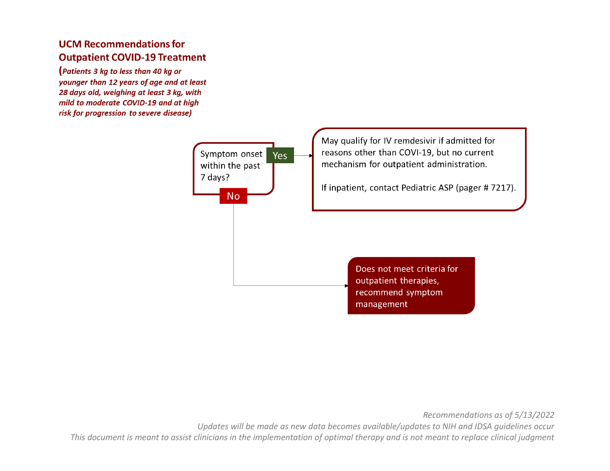## **UCM Recommendations for Outpatient COVID-19 Treatment**

(Patients 3 kg to less than 40 kg or younger than 12 years of age and at least 28 days old, weighing at least 3 kg, with mild to moderate COVID-19 and at high risk for progression to severe disease)



*Recommendations as of 5/13/2022*

*Updates will be made as new data becomes available/updates to NIH and IDSA guidelines occur*

*This document is meant to assist clinicians in the implementation of optimal therapy and is not meant to replace clinical judgment*